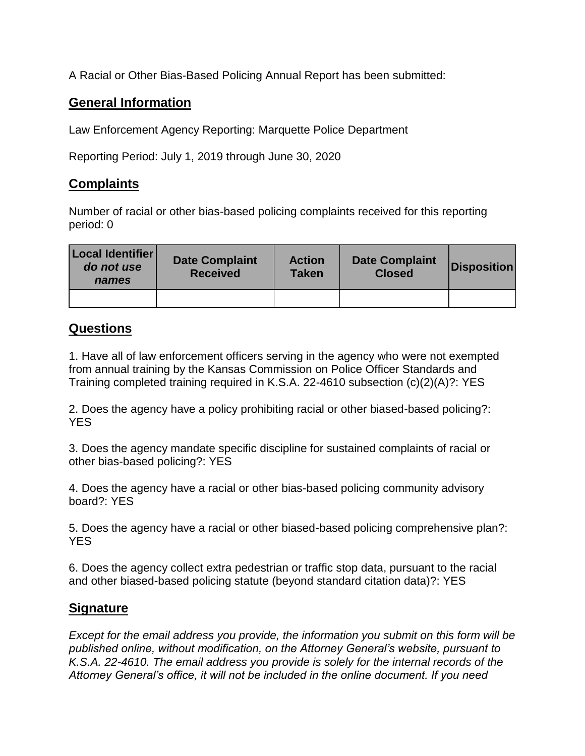A Racial or Other Bias-Based Policing Annual Report has been submitted:

## **General Information**

Law Enforcement Agency Reporting: Marquette Police Department

Reporting Period: July 1, 2019 through June 30, 2020

## **Complaints**

Number of racial or other bias-based policing complaints received for this reporting period: 0

| Local Identifier<br>do not use<br>names | <b>Date Complaint</b><br><b>Received</b> | <b>Action</b><br><b>Taken</b> | <b>Date Complaint</b><br><b>Closed</b> | <b>Disposition</b> |
|-----------------------------------------|------------------------------------------|-------------------------------|----------------------------------------|--------------------|
|                                         |                                          |                               |                                        |                    |

## **Questions**

1. Have all of law enforcement officers serving in the agency who were not exempted from annual training by the Kansas Commission on Police Officer Standards and Training completed training required in K.S.A. 22-4610 subsection (c)(2)(A)?: YES

2. Does the agency have a policy prohibiting racial or other biased-based policing?: YES

3. Does the agency mandate specific discipline for sustained complaints of racial or other bias-based policing?: YES

4. Does the agency have a racial or other bias-based policing community advisory board?: YES

5. Does the agency have a racial or other biased-based policing comprehensive plan?: **YES** 

6. Does the agency collect extra pedestrian or traffic stop data, pursuant to the racial and other biased-based policing statute (beyond standard citation data)?: YES

## **Signature**

*Except for the email address you provide, the information you submit on this form will be published online, without modification, on the Attorney General's website, pursuant to K.S.A. 22-4610. The email address you provide is solely for the internal records of the Attorney General's office, it will not be included in the online document. If you need*